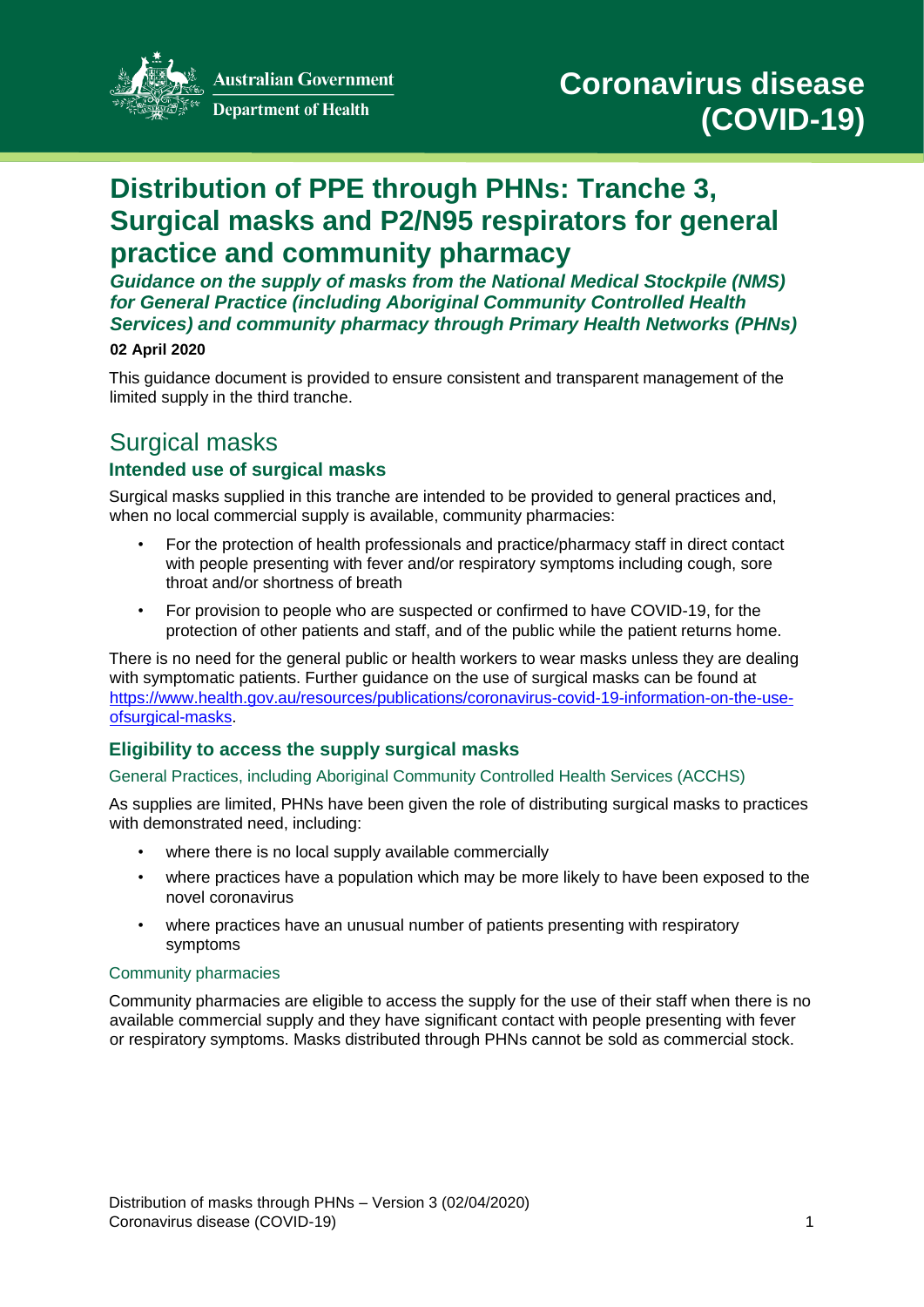

**Australian Government** 

**Department of Health** 

# **Distribution of PPE through PHNs: Tranche 3, Surgical masks and P2/N95 respirators for general practice and community pharmacy**

*Guidance on the supply of masks from the National Medical Stockpile (NMS) for General Practice (including Aboriginal Community Controlled Health Services) and community pharmacy through Primary Health Networks (PHNs)* 

#### **02 April 2020**

This guidance document is provided to ensure consistent and transparent management of the limited supply in the third tranche.

## Surgical masks **Intended use of surgical masks**

Surgical masks supplied in this tranche are intended to be provided to general practices and, when no local commercial supply is available, community pharmacies:

- For the protection of health professionals and practice/pharmacy staff in direct contact with people presenting with fever and/or respiratory symptoms including cough, sore throat and/or shortness of breath
- For provision to people who are suspected or confirmed to have COVID-19, for the protection of other patients and staff, and of the public while the patient returns home.

There is no need for the general public or health workers to wear masks unless they are dealing with symptomatic patients. Further guidance on the use of surgical masks can be found at [https://www.health.gov.au/resources/publications/coronavirus-covid-19-information-on-the-use](https://www.health.gov.au/resources/publications/coronavirus-covid-19-information-on-the-use-of-surgical-masks)[ofsurgical-masks.](https://www.health.gov.au/resources/publications/coronavirus-covid-19-information-on-the-use-of-surgical-masks)

## **Eligibility to access the supply surgical masks**

#### General Practices, including Aboriginal Community Controlled Health Services (ACCHS)

As supplies are limited, PHNs have been given the role of distributing surgical masks to practices with demonstrated need, including:

- where there is no local supply available commercially
- where practices have a population which may be more likely to have been exposed to the novel coronavirus
- where practices have an unusual number of patients presenting with respiratory symptoms

#### Community pharmacies

Community pharmacies are eligible to access the supply for the use of their staff when there is no available commercial supply and they have significant contact with people presenting with fever or respiratory symptoms. Masks distributed through PHNs cannot be sold as commercial stock.